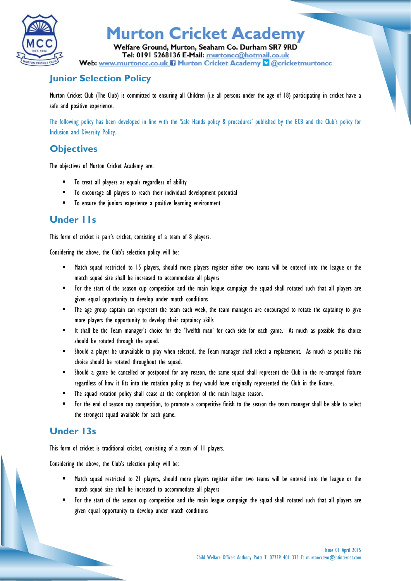

# **Murton Cricket Academy**

Welfare Ground, Murton, Seaham Co. Durham SR7 9RD Tel: 0191 5268136 E-Mail: murtoncc@hotmail.co.uk Web: www.murtoncc.co.uk ii Murton Cricket Academy & @cricketmurtoncc

## **Junior Selection Policy**

Murton Cricket Club (The Club) is committed to ensuring all Children (i.e all persons under the age of 18) participating in cricket have a safe and positive experience.

The following policy has been developed in line with the 'Safe Hands policy & procedures' published by the ECB and the Club's policy for Inclusion and Diversity Policy.

### **Objectives**

The objectives of Murton Cricket Academy are:

- To treat all players as equals regardless of ability
- To encourage all players to reach their individual development potential
- $\blacksquare$  To ensure the juniors experience a positive learning environment

#### **Under 11s**

This form of cricket is pair's cricket, consisting of a team of 8 players.

Considering the above, the Club's selection policy will be:

- Match squad restricted to 15 players, should more players register either two teams will be entered into the league or the match squad size shall be increased to accommodate all players
- For the start of the season cup competition and the main league campaign the squad shall rotated such that all players are given equal opportunity to develop under match conditions
- **The age group captain can represent the team each week, the team managers are encouraged to rotate the captaincy to give** more players the opportunity to develop their captaincy skills
- "It shall be the Team manager's choice for the 'Twelfth man' for each side for each game. As much as possible this choice should be rotated through the squad.
- Should a player be unavailable to play when selected, the Team manager shall select a replacement. As much as possible this choice should be rotated throughout the squad.
- Should a game be cancelled or postponed for any reason, the same squad shall represent the Club in the re-arranged fixture regardless of how it fits into the rotation policy as they would have originally represented the Club in the fixture.
- The squad rotation policy shall cease at the completion of the main league season.
- For the end of season cup competition, to promote a competitive finish to the season the team manager shall be able to select the strongest squad available for each game.

### **Under 13s**

This form of cricket is traditional cricket, consisting of a team of 11 players.

Considering the above, the Club's selection policy will be:

- Match squad restricted to 21 players, should more players register either two teams will be entered into the league or the match squad size shall be increased to accommodate all players
- For the start of the season cup competition and the main league campaign the squad shall rotated such that all players are given equal opportunity to develop under match conditions